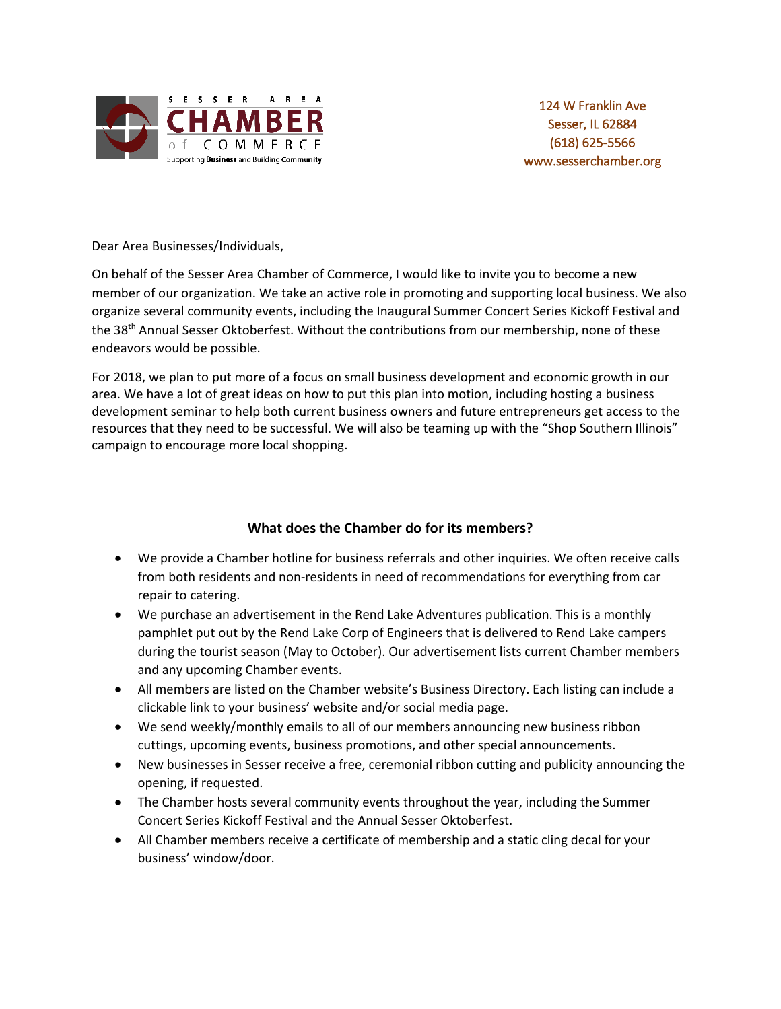

Dear Area Businesses/Individuals,

On behalf of the Sesser Area Chamber of Commerce, I would like to invite you to become a new member of our organization. We take an active role in promoting and supporting local business. We also organize several community events, including the Inaugural Summer Concert Series Kickoff Festival and the 38<sup>th</sup> Annual Sesser Oktoberfest. Without the contributions from our membership, none of these endeavors would be possible.

For 2018, we plan to put more of a focus on small business development and economic growth in our area. We have a lot of great ideas on how to put this plan into motion, including hosting a business development seminar to help both current business owners and future entrepreneurs get access to the resources that they need to be successful. We will also be teaming up with the "Shop Southern Illinois" campaign to encourage more local shopping.

### **What does the Chamber do for its members?**

- We provide a Chamber hotline for business referrals and other inquiries. We often receive calls from both residents and non-residents in need of recommendations for everything from car repair to catering.
- We purchase an advertisement in the Rend Lake Adventures publication. This is a monthly pamphlet put out by the Rend Lake Corp of Engineers that is delivered to Rend Lake campers during the tourist season (May to October). Our advertisement lists current Chamber members and any upcoming Chamber events.
- All members are listed on the Chamber website's Business Directory. Each listing can include a clickable link to your business' website and/or social media page.
- We send weekly/monthly emails to all of our members announcing new business ribbon cuttings, upcoming events, business promotions, and other special announcements.
- New businesses in Sesser receive a free, ceremonial ribbon cutting and publicity announcing the opening, if requested.
- The Chamber hosts several community events throughout the year, including the Summer Concert Series Kickoff Festival and the Annual Sesser Oktoberfest.
- All Chamber members receive a certificate of membership and a static cling decal for your business' window/door.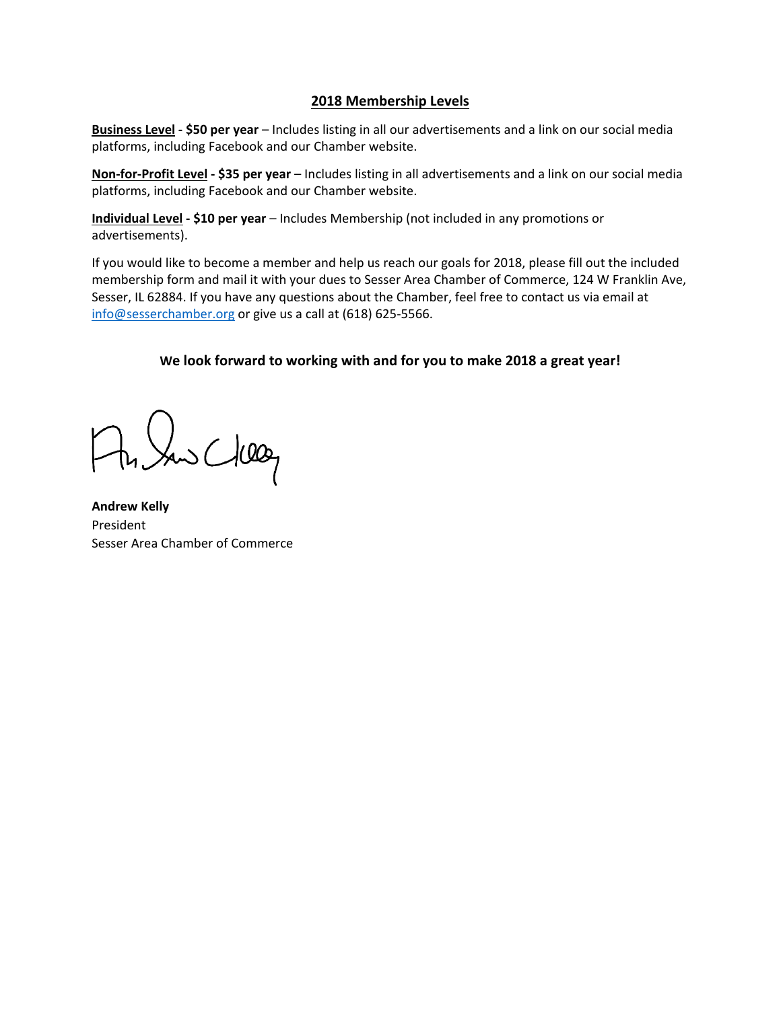#### **2018 Membership Levels**

**Business Level - \$50 per year** – Includes listing in all our advertisements and a link on our social media platforms, including Facebook and our Chamber website.

**Non-for-Profit Level - \$35 per year** – Includes listing in all advertisements and a link on our social media platforms, including Facebook and our Chamber website.

**Individual Level - \$10 per year** – Includes Membership (not included in any promotions or advertisements).

If you would like to become a member and help us reach our goals for 2018, please fill out the included membership form and mail it with your dues to Sesser Area Chamber of Commerce, 124 W Franklin Ave, Sesser, IL 62884. If you have any questions about the Chamber, feel free to contact us via email at [info@sesserchamber.org](mailto:info@sesserchamber.org) or give us a call at (618) 625-5566.

#### **We look forward to working with and for you to make 2018 a great year!**

the Sans Clear

**Andrew Kelly** President Sesser Area Chamber of Commerce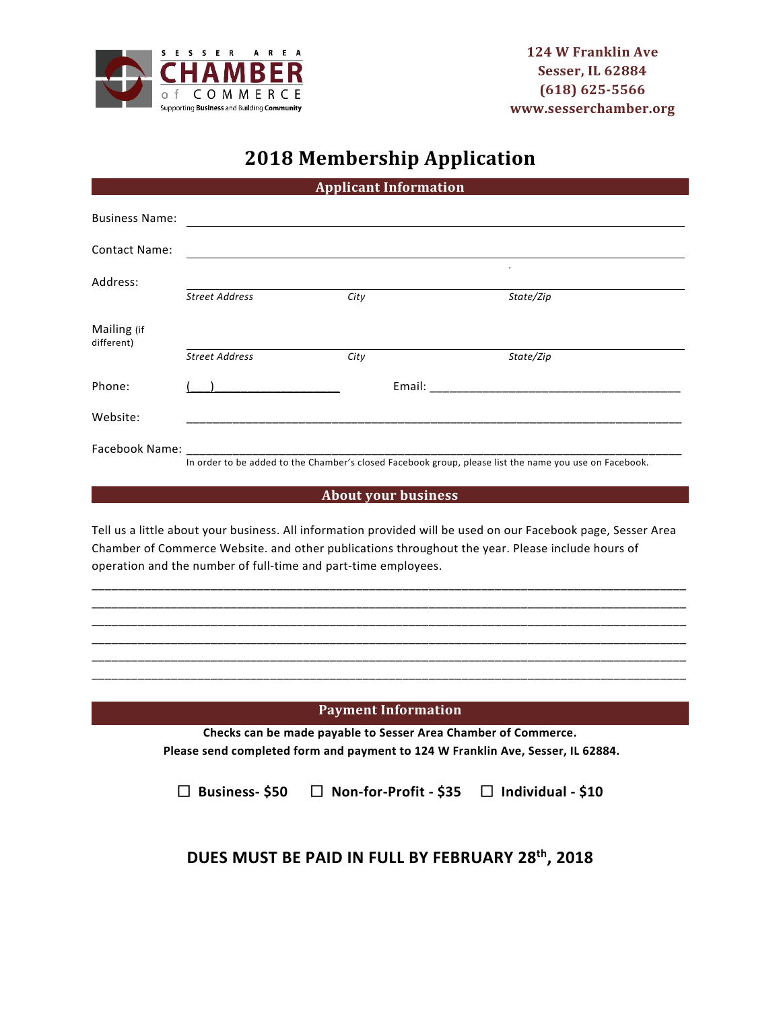

# **2018 Membership Application**

| <b>Applicant Information</b> |                                                                                                                                                                                                                                |                                                                                                        |                                                                                                               |  |  |
|------------------------------|--------------------------------------------------------------------------------------------------------------------------------------------------------------------------------------------------------------------------------|--------------------------------------------------------------------------------------------------------|---------------------------------------------------------------------------------------------------------------|--|--|
| <b>Business Name:</b>        |                                                                                                                                                                                                                                |                                                                                                        |                                                                                                               |  |  |
| <b>Contact Name:</b>         |                                                                                                                                                                                                                                |                                                                                                        |                                                                                                               |  |  |
| Address:                     |                                                                                                                                                                                                                                |                                                                                                        |                                                                                                               |  |  |
|                              | <b>Street Address</b>                                                                                                                                                                                                          | City                                                                                                   | State/Zip                                                                                                     |  |  |
| Mailing (if<br>different)    |                                                                                                                                                                                                                                |                                                                                                        |                                                                                                               |  |  |
|                              | <b>Street Address</b>                                                                                                                                                                                                          | City                                                                                                   | State/Zip                                                                                                     |  |  |
| Phone:                       |                                                                                                                                                                                                                                |                                                                                                        | Email: Email: All and the state of the state of the state of the state of the state of the state of the state |  |  |
| Website:                     |                                                                                                                                                                                                                                |                                                                                                        |                                                                                                               |  |  |
|                              | Facebook Name: The contract of the contract of the contract of the contract of the contract of the contract of the contract of the contract of the contract of the contract of the contract of the contract of the contract of |                                                                                                        |                                                                                                               |  |  |
|                              |                                                                                                                                                                                                                                | In order to be added to the Chamber's closed Facebook group, please list the name you use on Facebook. |                                                                                                               |  |  |

#### **About your business**

Tell us a little about your business. All information provided will be used on our Facebook page, Sesser Area Chamber of Commerce Website. and other publications throughout the year. Please include hours of operation and the number of full-time and part-time employees.

\_\_\_\_\_\_\_\_\_\_\_\_\_\_\_\_\_\_\_\_\_\_\_\_\_\_\_\_\_\_\_\_\_\_\_\_\_\_\_\_\_\_\_\_\_\_\_\_\_\_\_\_\_\_\_\_\_\_\_\_\_\_\_\_\_\_\_\_\_\_\_\_\_\_\_\_\_\_\_\_\_\_\_\_\_\_\_\_\_\_ \_\_\_\_\_\_\_\_\_\_\_\_\_\_\_\_\_\_\_\_\_\_\_\_\_\_\_\_\_\_\_\_\_\_\_\_\_\_\_\_\_\_\_\_\_\_\_\_\_\_\_\_\_\_\_\_\_\_\_\_\_\_\_\_\_\_\_\_\_\_\_\_\_\_\_\_\_\_\_\_\_\_\_\_\_\_\_\_\_\_ \_\_\_\_\_\_\_\_\_\_\_\_\_\_\_\_\_\_\_\_\_\_\_\_\_\_\_\_\_\_\_\_\_\_\_\_\_\_\_\_\_\_\_\_\_\_\_\_\_\_\_\_\_\_\_\_\_\_\_\_\_\_\_\_\_\_\_\_\_\_\_\_\_\_\_\_\_\_\_\_\_\_\_\_\_\_\_\_\_\_ \_\_\_\_\_\_\_\_\_\_\_\_\_\_\_\_\_\_\_\_\_\_\_\_\_\_\_\_\_\_\_\_\_\_\_\_\_\_\_\_\_\_\_\_\_\_\_\_\_\_\_\_\_\_\_\_\_\_\_\_\_\_\_\_\_\_\_\_\_\_\_\_\_\_\_\_\_\_\_\_\_\_\_\_\_\_\_\_\_\_ \_\_\_\_\_\_\_\_\_\_\_\_\_\_\_\_\_\_\_\_\_\_\_\_\_\_\_\_\_\_\_\_\_\_\_\_\_\_\_\_\_\_\_\_\_\_\_\_\_\_\_\_\_\_\_\_\_\_\_\_\_\_\_\_\_\_\_\_\_\_\_\_\_\_\_\_\_\_\_\_\_\_\_\_\_\_\_\_\_\_ \_\_\_\_\_\_\_\_\_\_\_\_\_\_\_\_\_\_\_\_\_\_\_\_\_\_\_\_\_\_\_\_\_\_\_\_\_\_\_\_\_\_\_\_\_\_\_\_\_\_\_\_\_\_\_\_\_\_\_\_\_\_\_\_\_\_\_\_\_\_\_\_\_\_\_\_\_\_\_\_\_\_\_\_\_\_\_\_\_\_

#### **Payment Information**

**Checks can be made payable to Sesser Area Chamber of Commerce. Please send completed form and payment to 124 W Franklin Ave, Sesser, IL 62884.**

**Business- \$50 Non-for-Profit - \$35 Individual - \$10**

## **DUES MUST BE PAID IN FULL BY FEBRUARY 28th, 2018**